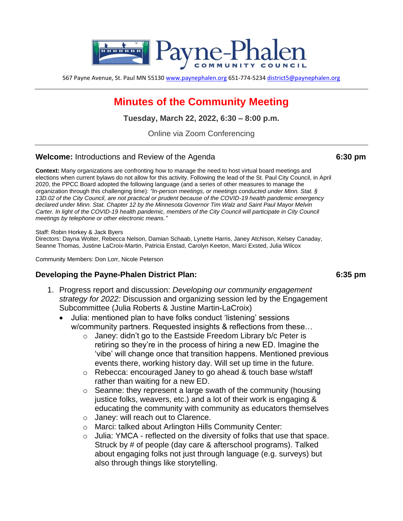

567 Payne Avenue, St. Paul MN 55130 [www.paynephalen.org](http://www.paynephalen.org/) 651-774-5234 [district5@paynephalen.org](mailto:district5@paynephalen.org)

# **Minutes of the Community Meeting**

**Tuesday, March 22, 2022, 6:30 – 8:00 p.m.**

Online via Zoom Conferencing

### **Welcome:** Introductions and Review of the Agenda 6:30 pm

**Context:** Many organizations are confronting how to manage the need to host virtual board meetings and elections when current bylaws do not allow for this activity. Following the lead of the St. Paul City Council, in April 2020, the PPCC Board adopted the following language (and a series of other measures to manage the organization through this challenging time): *"In-person meetings, or meetings conducted under Minn. Stat. § 13D.02 of the City Council, are not practical or prudent because of the COVID-19 health pandemic emergency declared under Minn. Stat. Chapter 12 by the Minnesota Governor Tim Walz and Saint Paul Mayor Melvin*  Carter. In light of the COVID-19 health pandemic, members of the City Council will participate in City Council *meetings by telephone or other electronic means."*

### Staff: Robin Horkey & Jack Byers

Directors: Dayna Wolter, Rebecca Nelson, Damian Schaab, Lynette Harris, Janey Atchison, Kelsey Canaday, Seanne Thomas, Justine LaCroix-Martin, Patricia Enstad, Carolyn Keeton, Marci Exsted, Julia Wilcox

Community Members: Don Lorr, Nicole Peterson

### **Developing the Payne-Phalen District Plan: 6:35 pm**

- 1. Progress report and discussion: *Developing our community engagement strategy for 2022:* Discussion and organizing session led by the Engagement Subcommittee (Julia Roberts & Justine Martin-LaCroix)
	- Julia: mentioned plan to have folks conduct 'listening' sessions w/community partners. Requested insights & reflections from these…
		- o Janey: didn't go to the Eastside Freedom Library b/c Peter is retiring so they're in the process of hiring a new ED. Imagine the 'vibe' will change once that transition happens. Mentioned previous events there, working history day. Will set up time in the future.
		- o Rebecca: encouraged Janey to go ahead & touch base w/staff rather than waiting for a new ED.
		- o Seanne: they represent a large swath of the community (housing justice folks, weavers, etc.) and a lot of their work is engaging & educating the community with community as educators themselves
		- o Janey: will reach out to Clarence.
		- o Marci: talked about Arlington Hills Community Center:
		- o Julia: YMCA reflected on the diversity of folks that use that space. Struck by # of people (day care & afterschool programs). Talked about engaging folks not just through language (e.g. surveys) but also through things like storytelling.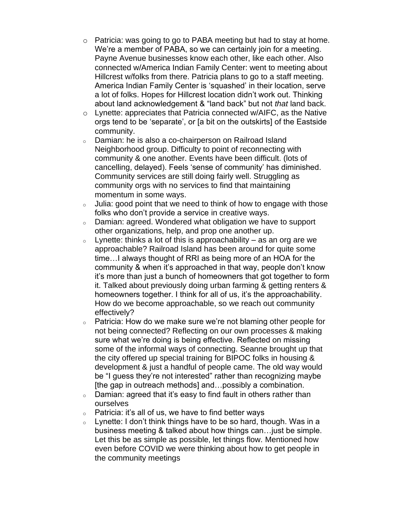- o Patricia: was going to go to PABA meeting but had to stay at home. We're a member of PABA, so we can certainly join for a meeting. Payne Avenue businesses know each other, like each other. Also connected w/America Indian Family Center: went to meeting about Hillcrest w/folks from there. Patricia plans to go to a staff meeting. America Indian Family Center is 'squashed' in their location, serve a lot of folks. Hopes for Hillcrest location didn't work out. Thinking about land acknowledgement & "land back" but not *that* land back.
- o Lynette: appreciates that Patricia connected w/AIFC, as the Native orgs tend to be 'separate', or [a bit on the outskirts] of the Eastside community.
- <sup>o</sup> Damian: he is also a co-chairperson on Railroad Island Neighborhood group. Difficulty to point of reconnecting with community & one another. Events have been difficult. (lots of cancelling, delayed). Feels 'sense of community' has diminished. Community services are still doing fairly well. Struggling as community orgs with no services to find that maintaining momentum in some ways.
- $\circ$  Julia: good point that we need to think of how to engage with those folks who don't provide a service in creative ways.
- <sup>o</sup> Damian: agreed. Wondered what obligation we have to support other organizations, help, and prop one another up.
- $\circ$  Lynette: thinks a lot of this is approachability as an org are we approachable? Railroad Island has been around for quite some time…I always thought of RRI as being more of an HOA for the community & when it's approached in that way, people don't know it's more than just a bunch of homeowners that got together to form it. Talked about previously doing urban farming & getting renters & homeowners together. I think for all of us, it's the approachability. How do we become approachable, so we reach out community effectively?
- $\circ$  Patricia: How do we make sure we're not blaming other people for not being connected? Reflecting on our own processes & making sure what we're doing is being effective. Reflected on missing some of the informal ways of connecting. Seanne brought up that the city offered up special training for BIPOC folks in housing & development & just a handful of people came. The old way would be "I guess they're not interested" rather than recognizing maybe [the gap in outreach methods] and…possibly a combination.
- $\circ$  Damian: agreed that it's easy to find fault in others rather than ourselves
- $\circ$  Patricia: it's all of us, we have to find better ways
- $\circ$  Lynette: I don't think things have to be so hard, though. Was in a business meeting & talked about how things can…just be simple. Let this be as simple as possible, let things flow. Mentioned how even before COVID we were thinking about how to get people in the community meetings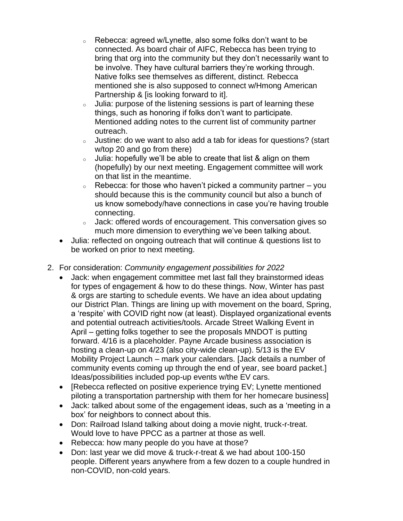- <sup>o</sup> Rebecca: agreed w/Lynette, also some folks don't want to be connected. As board chair of AIFC, Rebecca has been trying to bring that org into the community but they don't necessarily want to be involve. They have cultural barriers they're working through. Native folks see themselves as different, distinct. Rebecca mentioned she is also supposed to connect w/Hmong American Partnership & [is looking forward to it].
- <sup>o</sup> Julia: purpose of the listening sessions is part of learning these things, such as honoring if folks don't want to participate. Mentioned adding notes to the current list of community partner outreach.
- o Justine: do we want to also add a tab for ideas for questions? (start w/top 20 and go from there)
- o Julia: hopefully we'll be able to create that list & align on them (hopefully) by our next meeting. Engagement committee will work on that list in the meantime.
- $\circ$  Rebecca: for those who haven't picked a community partner you should because this is the community council but also a bunch of us know somebody/have connections in case you're having trouble connecting.
- <sup>o</sup> Jack: offered words of encouragement. This conversation gives so much more dimension to everything we've been talking about.
- Julia: reflected on ongoing outreach that will continue & questions list to be worked on prior to next meeting.
- 2. For consideration: *Community engagement possibilities for 2022*
	- Jack: when engagement committee met last fall they brainstormed ideas for types of engagement & how to do these things. Now, Winter has past & orgs are starting to schedule events. We have an idea about updating our District Plan. Things are lining up with movement on the board, Spring, a 'respite' with COVID right now (at least). Displayed organizational events and potential outreach activities/tools. Arcade Street Walking Event in April – getting folks together to see the proposals MNDOT is putting forward. 4/16 is a placeholder. Payne Arcade business association is hosting a clean-up on 4/23 (also city-wide clean-up). 5/13 is the EV Mobility Project Launch – mark your calendars. [Jack details a number of community events coming up through the end of year, see board packet.] Ideas/possibilities included pop-up events w/the EV cars.
	- [Rebecca reflected on positive experience trying EV; Lynette mentioned piloting a transportation partnership with them for her homecare business]
	- Jack: talked about some of the engagement ideas, such as a 'meeting in a box' for neighbors to connect about this.
	- Don: Railroad Island talking about doing a movie night, truck-r-treat. Would love to have PPCC as a partner at those as well.
	- Rebecca: how many people do you have at those?
	- Don: last year we did move & truck-r-treat & we had about 100-150 people. Different years anywhere from a few dozen to a couple hundred in non-COVID, non-cold years.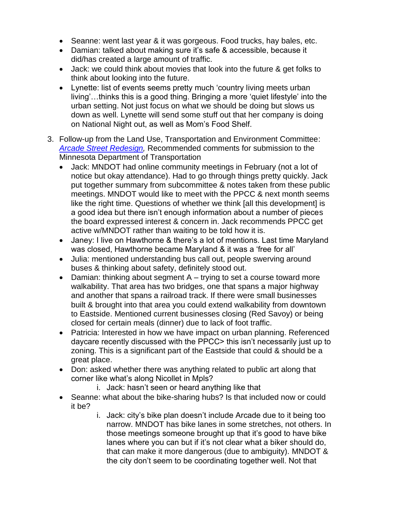- Seanne: went last year & it was gorgeous. Food trucks, hay bales, etc.
- Damian: talked about making sure it's safe & accessible, because it did/has created a large amount of traffic.
- Jack: we could think about movies that look into the future & get folks to think about looking into the future.
- Lynette: list of events seems pretty much 'country living meets urban living'…thinks this is a good thing. Bringing a more 'quiet lifestyle' into the urban setting. Not just focus on what we should be doing but slows us down as well. Lynette will send some stuff out that her company is doing on National Night out, as well as Mom's Food Shelf.
- 3. Follow-up from the Land Use, Transportation and Environment Committee: *[Arcade Street Redesign,](https://talk.dot.state.mn.us/e7tharcade?tool=news_feed)* Recommended comments for submission to the Minnesota Department of Transportation
	- Jack: MNDOT had online community meetings in February (not a lot of notice but okay attendance). Had to go through things pretty quickly. Jack put together summary from subcommittee & notes taken from these public meetings. MNDOT would like to meet with the PPCC & next month seems like the right time. Questions of whether we think [all this development] is a good idea but there isn't enough information about a number of pieces the board expressed interest & concern in. Jack recommends PPCC get active w/MNDOT rather than waiting to be told how it is.
	- Janey: I live on Hawthorne & there's a lot of mentions. Last time Maryland was closed, Hawthorne became Maryland & it was a 'free for all'
	- Julia: mentioned understanding bus call out, people swerving around buses & thinking about safety, definitely stood out.
	- Damian: thinking about segment  $A trying$  to set a course toward more walkability. That area has two bridges, one that spans a major highway and another that spans a railroad track. If there were small businesses built & brought into that area you could extend walkability from downtown to Eastside. Mentioned current businesses closing (Red Savoy) or being closed for certain meals (dinner) due to lack of foot traffic.
	- Patricia: Interested in how we have impact on urban planning. Referenced daycare recently discussed with the PPCC> this isn't necessarily just up to zoning. This is a significant part of the Eastside that could & should be a great place.
	- Don: asked whether there was anything related to public art along that corner like what's along Nicollet in Mpls?
		- i. Jack: hasn't seen or heard anything like that
	- Seanne: what about the bike-sharing hubs? Is that included now or could it be?
		- i. Jack: city's bike plan doesn't include Arcade due to it being too narrow. MNDOT has bike lanes in some stretches, not others. In those meetings someone brought up that it's good to have bike lanes where you can but if it's not clear what a biker should do, that can make it more dangerous (due to ambiguity). MNDOT & the city don't seem to be coordinating together well. Not that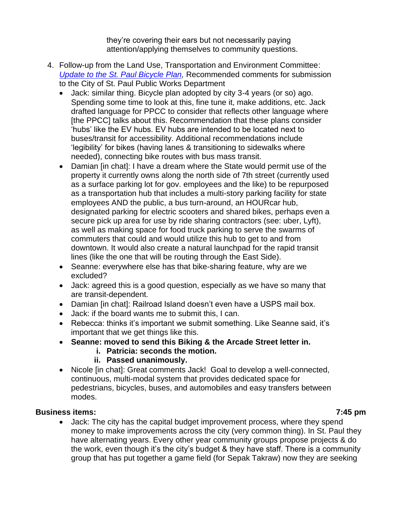they're covering their ears but not necessarily paying attention/applying themselves to community questions.

- 4. Follow-up from the Land Use, Transportation and Environment Committee: *[Update to the St. Paul Bicycle Plan,](https://www.stpaul.gov/departments/public-works/transportation-and-transit/bike-saint-paul/saint-paul-bicycle-plan)* Recommended comments for submission to the City of St. Paul Public Works Department
	- Jack: similar thing. Bicycle plan adopted by city 3-4 years (or so) ago. Spending some time to look at this, fine tune it, make additions, etc. Jack drafted language for PPCC to consider that reflects other language where [the PPCC] talks about this. Recommendation that these plans consider 'hubs' like the EV hubs. EV hubs are intended to be located next to buses/transit for accessibility. Additional recommendations include 'legibility' for bikes (having lanes & transitioning to sidewalks where needed), connecting bike routes with bus mass transit.
	- Damian [in chat]: I have a dream where the State would permit use of the property it currently owns along the north side of 7th street (currently used as a surface parking lot for gov. employees and the like) to be repurposed as a transportation hub that includes a multi-story parking facility for state employees AND the public, a bus turn-around, an HOURcar hub, designated parking for electric scooters and shared bikes, perhaps even a secure pick up area for use by ride sharing contractors (see: uber, Lyft), as well as making space for food truck parking to serve the swarms of commuters that could and would utilize this hub to get to and from downtown. It would also create a natural launchpad for the rapid transit lines (like the one that will be routing through the East Side).
	- Seanne: everywhere else has that bike-sharing feature, why are we excluded?
	- Jack: agreed this is a good question, especially as we have so many that are transit-dependent.
	- Damian [in chat]: Railroad Island doesn't even have a USPS mail box.
	- Jack: if the board wants me to submit this, I can.
	- Rebecca: thinks it's important we submit something. Like Seanne said, it's important that we get things like this.
	- **Seanne: moved to send this Biking & the Arcade Street letter in.**
		- **i. Patricia: seconds the motion.**
		- **ii. Passed unanimously.**
	- Nicole [in chat]: Great comments Jack! Goal to develop a well-connected, continuous, multi-modal system that provides dedicated space for pedestrians, bicycles, buses, and automobiles and easy transfers between modes.

### **Business items: 7:45 pm**

• Jack: The city has the capital budget improvement process, where they spend money to make improvements across the city (very common thing). In St. Paul they have alternating years. Every other year community groups propose projects & do the work, even though it's the city's budget & they have staff. There is a community group that has put together a game field (for Sepak Takraw) now they are seeking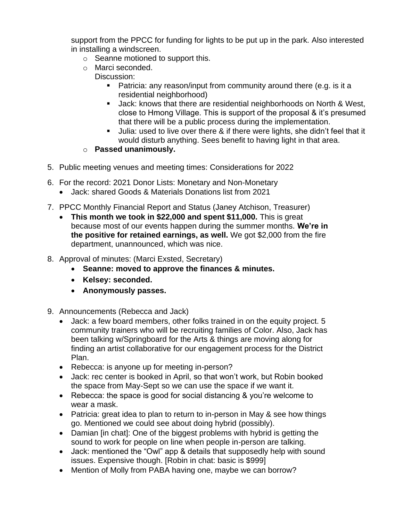support from the PPCC for funding for lights to be put up in the park. Also interested in installing a windscreen.

- o Seanne motioned to support this.
- o Marci seconded.

## Discussion:

- Patricia: any reason/input from community around there (e.g. is it a residential neighborhood)
- Jack: knows that there are residential neighborhoods on North & West, close to Hmong Village. This is support of the proposal & it's presumed that there will be a public process during the implementation.
- Julia: used to live over there & if there were lights, she didn't feel that it would disturb anything. Sees benefit to having light in that area.
- o **Passed unanimously.**
- 5. Public meeting venues and meeting times: Considerations for 2022
- 6. For the record: 2021 Donor Lists: Monetary and Non-Monetary
	- Jack: shared Goods & Materials Donations list from 2021
- 7. PPCC Monthly Financial Report and Status (Janey Atchison, Treasurer)
	- **This month we took in \$22,000 and spent \$11,000.** This is great because most of our events happen during the summer months. **We're in the positive for retained earnings, as well.** We got \$2,000 from the fire department, unannounced, which was nice.
- 8. Approval of minutes: (Marci Exsted, Secretary)
	- **Seanne: moved to approve the finances & minutes.**
	- **Kelsey: seconded.**
	- **Anonymously passes.**
- 9. Announcements (Rebecca and Jack)
	- Jack: a few board members, other folks trained in on the equity project. 5 community trainers who will be recruiting families of Color. Also, Jack has been talking w/Springboard for the Arts & things are moving along for finding an artist collaborative for our engagement process for the District Plan.
	- Rebecca: is anyone up for meeting in-person?
	- Jack: rec center is booked in April, so that won't work, but Robin booked the space from May-Sept so we can use the space if we want it.
	- Rebecca: the space is good for social distancing & you're welcome to wear a mask.
	- Patricia: great idea to plan to return to in-person in May & see how things go. Mentioned we could see about doing hybrid (possibly).
	- Damian [in chat]: One of the biggest problems with hybrid is getting the sound to work for people on line when people in-person are talking.
	- Jack: mentioned the "Owl" app & details that supposedly help with sound issues. Expensive though. [Robin in chat: basic is \$999]
	- Mention of Molly from PABA having one, maybe we can borrow?